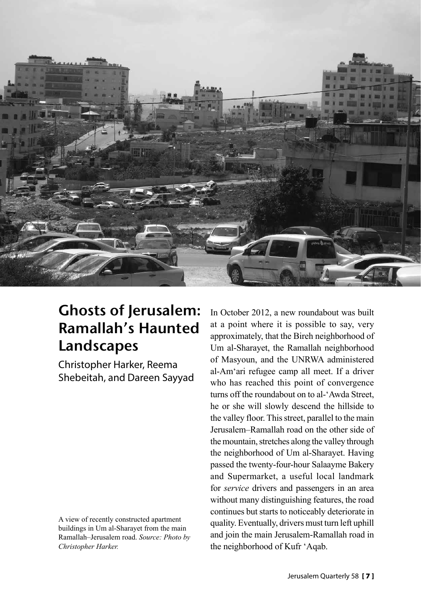

## **Ghosts of lerusalem:** Ramallah's Haunted Landscapes

Christopher Harker, Reema Shebeitah, and Dareen Sayyad

A view of recently constructed apartment buildings in Um al-Sharayet from the main Ramallah–Jerusalem road. *Source: Photo by Christopher Harker.*

In October 2012, a new roundabout was built at a point where it is possible to say, very approximately, that the Bireh neighborhood of Um al-Sharayet, the Ramallah neighborhood of Masyoun, and the UNRWA administered al-Am'ari refugee camp all meet. If a driver who has reached this point of convergence turns off the roundabout on to al-'Awda Street, he or she will slowly descend the hillside to the valley floor. This street, parallel to the main Jerusalem–Ramallah road on the other side of the mountain, stretches along the valley through the neighborhood of Um al-Sharayet. Having passed the twenty-four-hour Salaayme Bakery and Supermarket, a useful local landmark for *service* drivers and passengers in an area without many distinguishing features, the road continues but starts to noticeably deteriorate in quality. Eventually, drivers must turn left uphill and join the main Jerusalem-Ramallah road in the neighborhood of Kufr 'Aqab.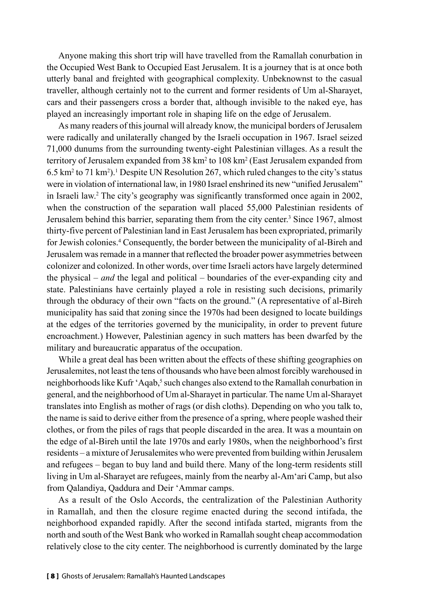Anyone making this short trip will have travelled from the Ramallah conurbation in the Occupied West Bank to Occupied East Jerusalem. It is a journey that is at once both utterly banal and freighted with geographical complexity. Unbeknownst to the casual traveller, although certainly not to the current and former residents of Um al-Sharayet, cars and their passengers cross a border that, although invisible to the naked eye, has played an increasingly important role in shaping life on the edge of Jerusalem.

As many readers of this journal will already know, the municipal borders of Jerusalem were radically and unilaterally changed by the Israeli occupation in 1967. Israel seized 71,000 dunums from the surrounding twenty-eight Palestinian villages. As a result the territory of Jerusalem expanded from 38 km² to 108 km² (East Jerusalem expanded from 6.5 km<sup>2</sup> to 71 km<sup>2</sup>). Despite UN Resolution 267, which ruled changes to the city's status were in violation of international law, in 1980 Israel enshrined its new "unified Jerusalem" in Israeli law.2 The city's geography was significantly transformed once again in 2002, when the construction of the separation wall placed 55,000 Palestinian residents of Jerusalem behind this barrier, separating them from the city center.<sup>3</sup> Since 1967, almost thirty-five percent of Palestinian land in East Jerusalem has been expropriated, primarily for Jewish colonies.<sup>4</sup> Consequently, the border between the municipality of al-Bireh and Jerusalem was remade in a manner that reflected the broader power asymmetries between colonizer and colonized. In other words, over time Israeli actors have largely determined the physical – *and* the legal and political – boundaries of the ever-expanding city and state. Palestinians have certainly played a role in resisting such decisions, primarily through the obduracy of their own "facts on the ground." (A representative of al-Bireh municipality has said that zoning since the 1970s had been designed to locate buildings at the edges of the territories governed by the municipality, in order to prevent future encroachment.) However, Palestinian agency in such matters has been dwarfed by the military and bureaucratic apparatus of the occupation.

While a great deal has been written about the effects of these shifting geographies on Jerusalemites, not least the tens of thousands who have been almost forcibly warehoused in neighborhoods like Kufr 'Aqab,<sup>5</sup> such changes also extend to the Ramallah conurbation in general, and the neighborhood of Um al-Sharayet in particular. The name Um al-Sharayet translates into English as mother of rags (or dish cloths). Depending on who you talk to, the name is said to derive either from the presence of a spring, where people washed their clothes, or from the piles of rags that people discarded in the area. It was a mountain on the edge of al-Bireh until the late 1970s and early 1980s, when the neighborhood's first residents – a mixture of Jerusalemites who were prevented from building within Jerusalem and refugees – began to buy land and build there. Many of the long-term residents still living in Um al-Sharayet are refugees, mainly from the nearby al-Am'ari Camp, but also from Qalandiya, Qaddura and Deir 'Ammar camps.

As a result of the Oslo Accords, the centralization of the Palestinian Authority in Ramallah, and then the closure regime enacted during the second intifada, the neighborhood expanded rapidly. After the second intifada started, migrants from the north and south of the West Bank who worked in Ramallah sought cheap accommodation relatively close to the city center. The neighborhood is currently dominated by the large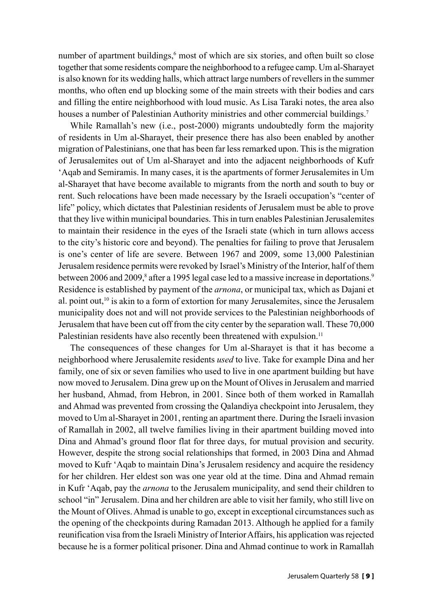number of apartment buildings,<sup>6</sup> most of which are six stories, and often built so close together that some residents compare the neighborhood to a refugee camp. Um al-Sharayet is also known for its wedding halls, which attract large numbers of revellers in the summer months, who often end up blocking some of the main streets with their bodies and cars and filling the entire neighborhood with loud music. As Lisa Taraki notes, the area also houses a number of Palestinian Authority ministries and other commercial buildings.<sup>7</sup>

While Ramallah's new (i.e., post-2000) migrants undoubtedly form the majority of residents in Um al-Sharayet, their presence there has also been enabled by another migration of Palestinians, one that has been far less remarked upon. This is the migration of Jerusalemites out of Um al-Sharayet and into the adjacent neighborhoods of Kufr 'Aqab and Semiramis. In many cases, it is the apartments of former Jerusalemites in Um al-Sharayet that have become available to migrants from the north and south to buy or rent. Such relocations have been made necessary by the Israeli occupation's "center of life" policy, which dictates that Palestinian residents of Jerusalem must be able to prove that they live within municipal boundaries. This in turn enables Palestinian Jerusalemites to maintain their residence in the eyes of the Israeli state (which in turn allows access to the city's historic core and beyond). The penalties for failing to prove that Jerusalem is one's center of life are severe. Between 1967 and 2009, some 13,000 Palestinian Jerusalem residence permits were revoked by Israel's Ministry of the Interior, half of them between 2006 and 2009,<sup>8</sup> after a 1995 legal case led to a massive increase in deportations.<sup>9</sup> Residence is established by payment of the *arnona*, or municipal tax, which as Dajani et al. point out,<sup>10</sup> is akin to a form of extortion for many Jerusalemites, since the Jerusalem municipality does not and will not provide services to the Palestinian neighborhoods of Jerusalem that have been cut off from the city center by the separation wall. These 70,000 Palestinian residents have also recently been threatened with expulsion.<sup>11</sup>

The consequences of these changes for Um al-Sharayet is that it has become a neighborhood where Jerusalemite residents *used* to live. Take for example Dina and her family, one of six or seven families who used to live in one apartment building but have now moved to Jerusalem. Dina grew up on the Mount of Olives in Jerusalem and married her husband, Ahmad, from Hebron, in 2001. Since both of them worked in Ramallah and Ahmad was prevented from crossing the Qalandiya checkpoint into Jerusalem, they moved to Um al-Sharayet in 2001, renting an apartment there. During the Israeli invasion of Ramallah in 2002, all twelve families living in their apartment building moved into Dina and Ahmad's ground floor flat for three days, for mutual provision and security. However, despite the strong social relationships that formed, in 2003 Dina and Ahmad moved to Kufr 'Aqab to maintain Dina's Jerusalem residency and acquire the residency for her children. Her eldest son was one year old at the time. Dina and Ahmad remain in Kufr 'Aqab, pay the *arnona* to the Jerusalem municipality, and send their children to school "in" Jerusalem. Dina and her children are able to visit her family, who still live on the Mount of Olives. Ahmad is unable to go, except in exceptional circumstances such as the opening of the checkpoints during Ramadan 2013. Although he applied for a family reunification visa from the Israeli Ministry of Interior Affairs, his application was rejected because he is a former political prisoner. Dina and Ahmad continue to work in Ramallah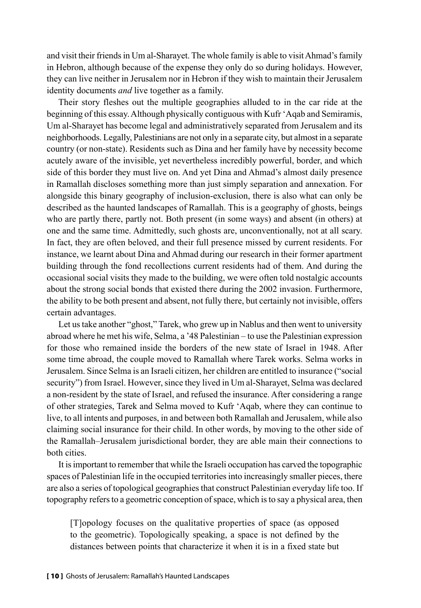and visit their friends in Um al-Sharayet. The whole family is able to visit Ahmad's family in Hebron, although because of the expense they only do so during holidays. However, they can live neither in Jerusalem nor in Hebron if they wish to maintain their Jerusalem identity documents *and* live together as a family.

Their story fleshes out the multiple geographies alluded to in the car ride at the beginning of this essay. Although physically contiguous with Kufr 'Aqab and Semiramis, Um al-Sharayet has become legal and administratively separated from Jerusalem and its neighborhoods. Legally, Palestinians are not only in a separate city, but almost in a separate country (or non-state). Residents such as Dina and her family have by necessity become acutely aware of the invisible, yet nevertheless incredibly powerful, border, and which side of this border they must live on. And yet Dina and Ahmad's almost daily presence in Ramallah discloses something more than just simply separation and annexation. For alongside this binary geography of inclusion-exclusion, there is also what can only be described as the haunted landscapes of Ramallah. This is a geography of ghosts, beings who are partly there, partly not. Both present (in some ways) and absent (in others) at one and the same time. Admittedly, such ghosts are, unconventionally, not at all scary. In fact, they are often beloved, and their full presence missed by current residents. For instance, we learnt about Dina and Ahmad during our research in their former apartment building through the fond recollections current residents had of them. And during the occasional social visits they made to the building, we were often told nostalgic accounts about the strong social bonds that existed there during the 2002 invasion. Furthermore, the ability to be both present and absent, not fully there, but certainly not invisible, offers certain advantages.

Let us take another "ghost," Tarek, who grew up in Nablus and then went to university abroad where he met his wife, Selma, a '48 Palestinian – to use the Palestinian expression for those who remained inside the borders of the new state of Israel in 1948. After some time abroad, the couple moved to Ramallah where Tarek works. Selma works in Jerusalem. Since Selma is an Israeli citizen, her children are entitled to insurance ("social security") from Israel. However, since they lived in Um al-Sharayet, Selma was declared a non-resident by the state of Israel, and refused the insurance. After considering a range of other strategies, Tarek and Selma moved to Kufr 'Aqab, where they can continue to live, to all intents and purposes, in and between both Ramallah and Jerusalem, while also claiming social insurance for their child. In other words, by moving to the other side of the Ramallah–Jerusalem jurisdictional border, they are able main their connections to both cities.

It is important to remember that while the Israeli occupation has carved the topographic spaces of Palestinian life in the occupied territories into increasingly smaller pieces, there are also a series of topological geographies that construct Palestinian everyday life too. If topography refers to a geometric conception of space, which is to say a physical area, then

[T]opology focuses on the qualitative properties of space (as opposed to the geometric). Topologically speaking, a space is not defined by the distances between points that characterize it when it is in a fixed state but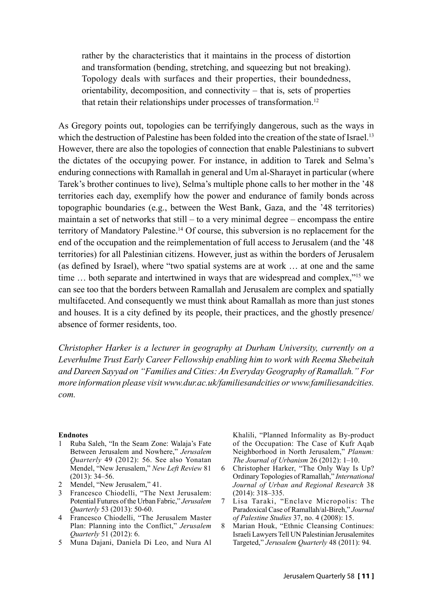rather by the characteristics that it maintains in the process of distortion and transformation (bending, stretching, and squeezing but not breaking). Topology deals with surfaces and their properties, their boundedness, orientability, decomposition, and connectivity – that is, sets of properties that retain their relationships under processes of transformation.<sup>12</sup>

As Gregory points out, topologies can be terrifyingly dangerous, such as the ways in which the destruction of Palestine has been folded into the creation of the state of Israel.<sup>13</sup> However, there are also the topologies of connection that enable Palestinians to subvert the dictates of the occupying power. For instance, in addition to Tarek and Selma's enduring connections with Ramallah in general and Um al-Sharayet in particular (where Tarek's brother continues to live), Selma's multiple phone calls to her mother in the '48 territories each day, exemplify how the power and endurance of family bonds across topographic boundaries (e.g., between the West Bank, Gaza, and the '48 territories) maintain a set of networks that still – to a very minimal degree – encompass the entire territory of Mandatory Palestine.14 Of course, this subversion is no replacement for the end of the occupation and the reimplementation of full access to Jerusalem (and the '48 territories) for all Palestinian citizens. However, just as within the borders of Jerusalem (as defined by Israel), where "two spatial systems are at work … at one and the same time … both separate and intertwined in ways that are widespread and complex,"15 we can see too that the borders between Ramallah and Jerusalem are complex and spatially multifaceted. And consequently we must think about Ramallah as more than just stones and houses. It is a city defined by its people, their practices, and the ghostly presence/ absence of former residents, too.

*Christopher Harker is a lecturer in geography at Durham University, currently on a Leverhulme Trust Early Career Fellowship enabling him to work with Reema Shebeitah and Dareen Sayyad on "Families and Cities: An Everyday Geography of Ramallah." For more information please visit www.dur.ac.uk/familiesandcities or www.familiesandcities. com.*

## **Endnotes**

- 1 Ruba Saleh, "In the Seam Zone: Walaja's Fate Between Jerusalem and Nowhere," *Jerusalem Quarterly* 49 (2012): 56. See also Yonatan Mendel, "New Jerusalem," *New Left Review* 81  $(2013)$ : 34–56.
- 2 Mendel, "New Jerusalem," 41.
- 3 Francesco Chiodelli, "The Next Jerusalem: Potential Futures of the Urban Fabric," *Jerusalem Quarterly* 53 (2013): 50-60.
- 4 Francesco Chiodelli, "The Jerusalem Master Plan: Planning into the Conflict," *Jerusalem Quarterly* 51 (2012): 6.
- 5 Muna Dajani, Daniela Di Leo, and Nura Al

Khalili, "Planned Informality as By-product of the Occupation: The Case of Kufr Aqab Neighborhood in North Jerusalem," *Planum: The Journal of Urbanism* 26 (2012): 1–10.

- 6 Christopher Harker, "The Only Way Is Up? Ordinary Topologies of Ramallah," *International Journal of Urban and Regional Research* 38 (2014): 318–335.
- 7 Lisa Taraki, "Enclave Micropolis: The Paradoxical Case of Ramallah/al-Bireh," *Journal of Palestine Studies* 37, no. 4 (2008): 15.
- 8 Marian Houk, "Ethnic Cleansing Continues: Israeli Lawyers Tell UN Palestinian Jerusalemites Targeted," *Jerusalem Quarterly* 48 (2011): 94.